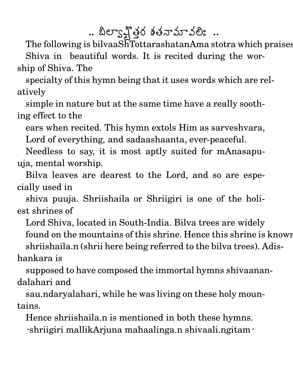.. బిల్వాన్షోతర శతనామావలిః ..

The following is bilvaaShTottarashatanAma stotra which praises Shiva in beautiful words. It is recited during the worship of Shiva. The

specialty of this hymn being that it uses words which are relatively

simple in nature but at the same time have a really soothing effect to the

ears when recited. This hymn extols Him as sarveshvara,

Lord of everything, and sadaashaanta, ever-peaceful.

Needless to say, it is most aptly suited for mAnasapuuja, mental worship.

Bilva leaves are dearest to the Lord, and so are especially used in

shiva puuja. Shriishaila or Shriigiri is one of the holiest shrines of

Lord Shiva, located in South-India. Bilva trees are widely found on the mountains of this shrine. Hence this shrine is known shriishaila.n (shrii here being referred to the bilva trees). Adishankara is

supposed to have composed the immortal hymns shivaanandalahari and

sau.ndaryalahari, while he was living on these holy mountains.

Hence shriishaila.n is mentioned in both these hymns. "shriigiri mallikArjuna mahaalinga.n shivaali.ngitam "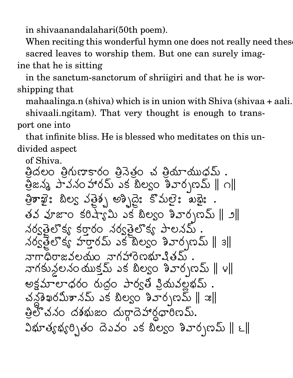in shivaanandalahari(50th poem).

When reciting this wonderful hymn one does not really need these sacred leaves to worship them. But one can surely imagine that he is sitting

in the sanctum-sanctorum of shriigiri and that he is worshipping that

mahaalinga.n (shiva) which is in union with Shiva (shivaa + aali. shivaali.ngitam). That very thought is enough to transport one into

that infinite bliss. He is blessed who meditates on this undivided aspect

of Shiva.

త్రిదలం త్రిగుణాకారం త్రినెత్రం చ త్రియాయుధమ్ .  $\mathcal{L}$  22% and  $\mathcal{L}$  34 and  $\mathcal{L}$  30% and  $\mathcal{L}$   $\mathcal{L}$   $\mathcal{L}$   $\mathcal{L}$   $\mathcal{L}$   $\mathcal{L}$ త్రికాఖై: బిల్య వత్రైన అశ్చిదై: కొమలై: ఖథై: తవ వూజాం కరిష్యామి ఎక బిల్వం శివార్చణమ్ ∥ ౨∥ నర్వతెలొక్వ కరారం నర్వతెలొక్వ పాలనమ్  $\frac{1}{8}$  స్టారమ్ ఎక్టెల్యం శివార్చబ్ || 3|| నాగాధిరాజవలయం నాగహారెణభూషితమ్. నాగకునలనం యుక్తమ్ ఎక బిల్యం శివార్చణమ్ || ౪|| అక్షమాలాధరం రుద్దం పార్వతి విదువల్లభమ్. చన్లు సిమితానమ్ ఎక బిల్యం శివార్చణమ్ || ఇ|| త్రిలో చనం దశభుజం దుర్గాదెహార్దధారిణమ్.  $\Im\mathfrak{A}$ ွိုက်ပေါ်တွင် တိုက်သည် တိုက်ပါတီကို တိုက်သည်  $\parallel\epsilon\parallel$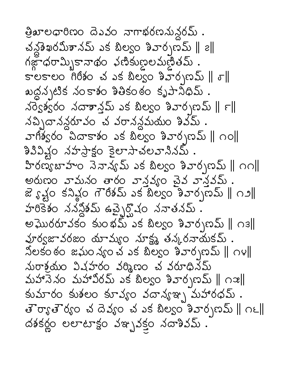త్రిఖాలధారిణం దెఎవం నాగాభరణనున్దరమ్ . చన్లు ఖరమీశానమ్ ఎక బిల్వం శివార్చణమ్ || ౭||  $s$  es es a dás des singuas a distance as  $\parallel s \parallel$ ఖద్దన్నటిక నంకాశం శితికంఠం కృపానిధిమ్ . నర్వెశ్వరం నదాశాన్తమ్ ఎక బిల్వం శివార్చణమ్ || ౯|| నచ్చిదానన్దరూవం చ వరానన్ధమయం శివమ్ . హెగిశ్వరం చిదాకాశం ఎక బిల్వం శివార్చబమ్ || ౧ం|| శివిష్టం నహస్తాక్షం కైలాసాచలవానినమ్ . హిరణ్యబాహం నెనాన్యమ్ ఎక బిల్వం శివార్చణమ్ || ౧౧|| అరుణం వామనం తారం వాన్తవ్యం చైవ వాన్తవమ్. జె ్టె క్టర్ కని అందా గౌరీశమ్ ఎక బిల్యం శివార్పణమ్ || ౧౨|| హరికేశం ననన్లికమ్ ఉచ్ఛైర్హొషం ననాతనమ్. అఘొరరూవకం కుంభమ్ ఎక బిల్యం శివార్చణమ్ || ౧౩|| వూర్వజావరజం యామ్యం నూక్ష్మ తన్కరనాయకమ్ .  $\alpha$ లకంఠం జఘం $\lambda$ sంచ ఎక బిల్యం శివార్చణమ్ || ౧౪|| నురాశ్రమం విషహరం వర్మిణం చ వరూధినమ్ మహానెనం మహావిరమ్ ఎక బిల్యం శివార్పణమ్ || ౧ఇ|| కుమారం కుశలం కూవ్యం వదాన్యఇ్న మహారధమ్ . తెర్యాతెర్యం చదివ్యం చవక బిల్యం శివార్సణమ్ || ౧౬|| దశకర్ణం లలాటాక్షం వఞ్పవక్తం నదాశివమ్ .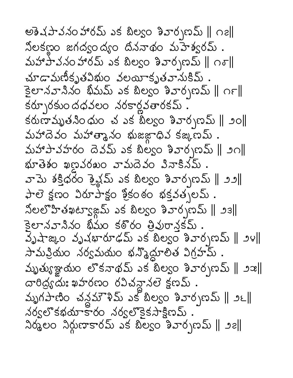అశెషపావనం హారమ్ ఎక బిల్యం శివార్చణమ్ || ౧౭|| నిలకణ్ణం జగద్యం ద్యం దిననాథం మహెశ్వరమ్ . మహాపావనం హారమ్ ఎక బిల్వం శివార్చణమ్ ∥ం్∥ మాడామణీకృతవిభుం వలయాకృతవానుకిమ్ . కైలానవానినం భీమమ్ ఎక బిల్యం శివార్చణమ్ || ౧౯|| కరూృరకుందధవలం నరకార్లవతారకమ్ . కరుణామృతనింధుం చ ఎక బిల్వం శివార్చణమ్ || ౨ం|| ல்ச்கெல் லக்கைக் லைக்கைக் கூக்க. మహాపావహరం దెవమ్ ఎక బిల్వం శివార్చణమ్ || ౨౧|| భూతెశం ఖణవరఖం వామదెవం వినాకినమ్ . వామె శక్తిధరం శ్రైవ్లప్ ఎక బిల్యం శివార్చణమ్ || ౨౨|| สิช สัตว มิพามิสูง ฮึรออ่อ สรรัสจายมี.  $\text{Sec}$  and  $\text{Sec}$  and  $\text{Sec}$ కైలానవానినం భీమం కఠొరం త్రివురానకమ్. వృషాఙుం వృషభారూఢమ్ ఎక బిల్వం శివార్చణమ్ || ౨౪|| సామవ్రియం నర్వమయం భన్మొద్దూలిత విగ్రహమ్. మృత్యుఞ్ఞయం లొకనాథమ్ ఎక బిల్వం శివార్చణమ్ || ౨ఇ|| దారిద్ర్యమః ఖహరణం రవిచన్దానలె క్షణమ్ . మృగపాణిం చన్లమౌళిమ్ ఎక బిల్యం శివార్చణమ్ || అ౬|| నర్వలొకభయాకారం నర్వలొకైకసాక్షిణమ్.  $\Delta$ ర్మలం  $\Delta$ ర్దుణాకారమ్ ఎక బిల్వం శివార్చణమ్ || ౨౭||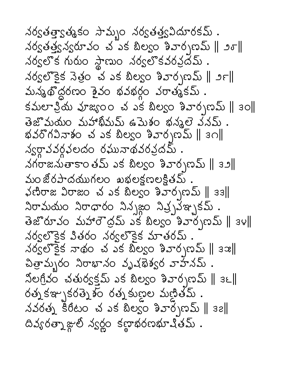నర్వతత్తాక్షత్మకం సామ్బం నర్వతత్త్వవిదూరకమ్ . నర్వతత్త్వన్వరూవం చ ఎక బిల్యం శివార్చణమ్ || ౨ర్|| నర్వలొక గురుం స్థాణుం నర్వలొకవరవ్రదేమ్ . నర్వలొకైక నెత్రం చ ఎక బిల్వం శివార్చణమ్ || ౨౯|| మన్మథొద్దరణం శైవం భవభర్గం వరాత్మకమ్ .  $\frac{1}{3}$ మలా శ్రీయ వూజ్యం చ ఎక బిల్యం శివార్చణమ్ || ఇం|| తెజొమయం మహాఖీమమ్ ఉమెశం భన్మలె వనమ్. భవరొగవినాశం చ ఎక బిల్వం శివార్చణమ్ ∥ ౩౧∥ న్యర్థావవర్గవలదం రఘునాథవరవ్రదమ్ . నగరాజనుతాకాంతమ్ ఎక బిల్వం శివార్చణమ్ || ౩౨|| మం జోరపాదయుగలం - ఖభలక్షణలక్షితమ్  $\frac{1}{2}$ ျား အားလြန္း အခါ အလုပ္ေနသည္ မွားသြား  $\lambda \sigma$ మయం  $\lambda \sigma$ ధారం  $\lambda \lambda$ ్రజం  $\lambda \lambda' \lambda' \lambda' \lambda'$ ్రమ్ .  $3x^3$ రూవం మహారౌద్రమ్ ఎక బిల్వం శివార్భణమ్ || 34|| నర్వలొకైక వితరం నర్వలొకైక మాతరమ్ . నర్వలొకైక నాథం చ ఎక బిల్వం శివార్చణమ్ || ౩౫|| చిత్రామ్బరం నిరాభానం వృష్ణేశ్వర వాహనమ్ . నోలగ్రీవం చతుర్వక్తమ్ ఎక బిల్వం శివార్చణమ్ ∥ ౩౬∥ రత్న కఞ్భకరత్నెశం రత్న కుణల మణితమ్ . నవరత్న కిరీటం చ ఎక బిల్వం శివార్పణమ్ || ౩౭||  $\alpha$ వ్యరత్నాజ్గాలో స్వర్థం కణ్ణాభరణభూషితమ్.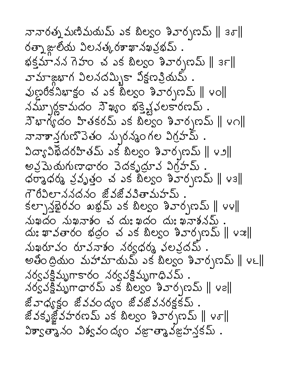నానారత్న మణిమయమ్ ఎక బిల్వం శివార్చణమ్ ∥ ౩ర∥ రత్నాజ్గులోయ విలనత్కరశాఖానఖవ్రభమ్ . భక్తమానన గెహం చ ఎక బిల్వం శివార్చబ్ు || ౩౯ || వామాజ్గూగ విలనదమ్భికా విక్షణప్రియమ్ . నమూృర్ణకామదం సౌఖ్యం భక్తిష్టవలకారణమ్ .  $\pi$ బాగ్యదం హితకరమ్ ఎక బిల్వం శివార్చణమ్ || ౪౧|| నానాశాన్త్రగుణొవెతం న్పురన్మంగల విగ్రహమ్  $\log_{30}(10^{-4} \text{ m})$  as alogo aropas || v 2 అవ్రమెయగుణాధారం వెదకృద్ధూవ విగ్రహమ్  $\phi$ రాశ్రాధ్య శ్రవృత్తం చెవక బిల్యం శివార్పణమ్ || ఆశి|| గౌరివిలాననదనం జీవజీవవితామహమ్  $\langle \xi e^{-\frac{1}{2}} \xi e^{i\theta} \xi e^{-i\theta} \xi e^{-i\theta} \xi e^{-i\theta} \xi e^{-i\theta} \xi e^{-i\theta} \xi e^{-i\theta}$ మఖదం నుఖనాశం చ దుఃఖదం దుః ఖనాశనమ్  $\Delta x$  )  $\Delta y$  )  $\Delta z$  )  $\Delta z$  )  $\Delta y$  )  $\Delta z$  )  $\Delta z$  )  $\Delta z$  )  $\Delta z$  )  $\Delta z$  )  $\Delta z$  )  $\Delta z$  )  $\Delta z$  )  $\Delta z$  )  $\Delta z$   $\Delta z$   $\Delta z$   $\Delta z$   $\Delta z$   $\Delta z$   $\Delta z$   $\Delta z$   $\Delta z$   $\Delta z$   $\Delta z$   $\Delta z$   $\Delta z$   $\Delta z$   $\Delta z$   $\Delta z$   $\Delta z$   $\Delta z$  నుఖరూవం రూవనాశం నర్వధర్మ వలవ్రదమ్ అతింద్రియం మహామాయమ్ ఎక బిల్వం శివార్చణమ్ || ౪౬|| నర్వవక్షిమృగాకారం నర్వవక్షిమృగాధివమ్. నర్వవక్షిమృగాధారమ్ ఎక బిల్వం శివార్చణమ్ || ౪౭|| జీవాధ్యక్షం జీవవంద్యం జీవజీవనరక్షకమ్. జివకృజ్జివహరణమ్ ఎక బిల్వం శివార్చణమ్ || ౪్|| విశ్వాత్మానం విశ్వవంద్యం వజ్ఞాత్మానజహనకమ్.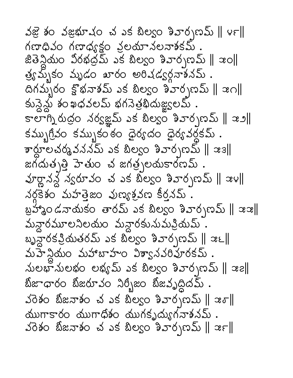నజై శం వజ్రభూషం చ ఎక బిల్వం శివార్చణమ్ ∥౪౯∥ గణాధివం గణాధ్యక్షం వ్రలయానలనాశకమ్ జితెన్దియం విరభద్రమ్ ఎక బిల్యం శివార్చణమ్ || ఇం|| త్రఘృకం మృడం ఖారం అరిషడ్వర్గనాశనమ్.  $\alpha$ గమ్బం క్షోభనాశమ్ ఎక బిల్వం శివార్పణమ్ ||  $\alpha$ ౧|| కున్దెన్దు శంఖధవలమ్ భగనెత్రభిదుజ్ఞ్యలమ్ . 5 లాగ్నిరుద్రం నర్వజ్ఞమ్ ఎక బిల్యం శివార్చణమ్ || ఇ. 1| కమ్బుగ్రీవం కమ్బుకంఠం ధైర్యదం ధైర్యవర్ధకమ్ .  $\frac{1}{3}$ జాలచర్మవననమ్ ఎక బిల్వం శివార్చణమ్ || జె3||  $\alpha$ ทั่วยังอยู่ 3 สังครับอังครับออกรายที่ 25 ส పూర్ణానన్ద న్యరూవం చ ఎక బిల్యం శివార్చణమ్ || ఇ౪|| నర్ధకైశం మహత్తెజం వుణ్యశ్రవణ కీర్తనమ్ . బ్రహాశ్రం డనాయకం తారమ్ ఎక బిల్యం శివార్పణమ్ || ఇఇ|| మన్దారమూలనిలయం మన్దారకునుమక్రియమ్. బృహ్దేరకప్రియతరమ్ ఎక బిల్వం శివార్చణమ్ || ఇ౬|| మహే న్లియం మహాబాహం విశ్వానవరిహైరకమ్. మలభామలభం లభ్యమ్ ఎక బిల్వం శివార్చణమ్ || ఇ౭|| బీజాధారం బీజరూవం నిర్భీజం బీజవృద్ధిదమ్ .  $\frac{1}{30}$ శం బిజనాశం చ ఎక బిల్వం శివార్చణమ్ || ఇ $\sigma$ ||  $\Delta$ బుగాకారం  $\Delta$ బుగాధిశం ముగకృద్యుగనాశనమ్ .  $33$ శం బిజనాశం చ ఎక బిల్యం శివార్చణమ్ || ఇ $\epsilon$ ||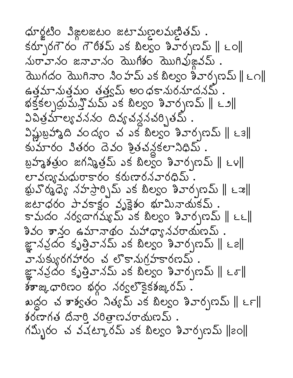ధూర్హటిం విజ్ఞలజటం జటామణలమణితమ్ .  $\frac{1}{2}$  )  $\frac{1}{2}$  ( $\frac{1}{2}$  )  $\frac{1}{2}$  ( $\frac{1}{2}$   $\frac{1}{2}$   $\frac{1}{2}$   $\frac{1}{2}$   $\frac{1}{2}$   $\frac{1}{2}$   $\frac{1}{2}$   $\frac{1}{2}$   $\frac{1}{2}$   $\frac{1}{2}$   $\frac{1}{2}$   $\frac{1}{2}$   $\frac{1}{2}$   $\frac{1}{2}$   $\frac{1}{2}$   $\frac{1}{2}$   $\frac{1}{2}$   $\frac{1$ మరావానం జనావానం మొగిశం మొగివుజ్గవమ్ . యొగదం యొగినాం సింహమ్ ఎక బిల్వం శివార్చణమ్∥౬౧∥ ఉత్తమానుత్తమం తత్త్వమ్ అంధకానురనూదనమ్ . భక్తకల్పద్రుమన్తి మమ్ ఎక బిల్యం శివార్పణమ్ ∥ ౬౨∥ విచిత్రమాల్యవననం దివ్యచన్లనట్నతమ్ .  $\frac{1}{2}$ ముబ్రహా ఉది వంద్యం చవక బిల్యం శివార్చణమ్ || ఒశ|| కుమారం వితరం దెవం శ్రీతచన్దకలానిధిమ్ బ్రహ్మశత్రుం జగన్మిత్రమ్ ఎక బిల్యం శివార్చణమ్ || ౬౪|| లావణ్యమధురాకారం కరుణారనవారధిమ్ క్టువొర్మధ్యే నహస్తార్చిమ్ ఎక బిల్వం శివార్చణమ్ || ౬౫|| జటాధరం పావకాక్షం వృక్షైతం భూమినాయకమ్. కామదం నర్వదాగమ్యమ్ ఎక బిల్వం శివార్చణమ్ || ౬౬|| శివం శాన్త్రం ఉమానాథం మహాధ్యానవరాయణమ్ . జ్ఞానవ్రదం కృత్తివానమ్ ఎక బిల్వం శివార్చణమ్ ∥ ౬౭∥ వానుక్యురగహారం చ లొకానుగ్రహకారణమ్ . జ్ఞానవ్రదం కృత్తివానమ్ ఎక బిల్యం శివార్చణమ్ ∥ ౬్∥ နားဆုံးထုပ္မႈတ အုပ္ရွိဝ ၁၀၀၀ အေန အေျပည္ . ఖద్ద౦ చ శాశ్వత౦ నిత్యమ్ ఎక బిల్వ౦ శివార్చణమ్ ∥ ౬౯∥  $\delta$ ల్ బాగత దినారి వరిత్రాణవరాయణమ్. గమ్బీరం చ వచట్కారమ్ ఎక బిల్వం శివార్పణమ్ ||౭ం||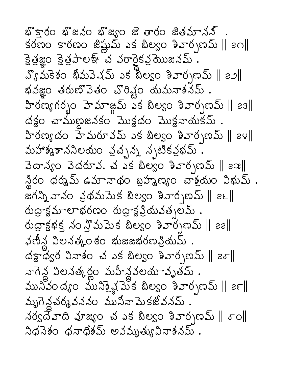భ్కారం భ్జనం భ్జృం జె తారం జితమానన్ . కరణం కారణం జిష్ణుమ్ ఎక బిల్యం శివార్పణమ్ || ౭౧|| క్టెత్రజ్ఞం క్టెత్రపాలశ్ చ వరారైకవ్ర మొజనమ్.  $S_{\delta}$ మికెశం భీమవెషమ్ ఎక బీల్యం శివార్చణమ్ || ఇం|| భవజ్ఞం తరుణొవెతం చొరివ్టం యమనాశనమ్. హిరణ్యగర్భం హెమాజ్లమ్ ఎక బిల్యం శివార్చణమ్ || ౭౩||  $\Delta$ క్టం చాముణైజనకం మొక్టదం మొక్షనాయకమ్ . హిరణ్యదం హేమరూవమ్ ఎక బిల్యం శివార్చణమ్ || ఇం|| మహాశ్మశాననిలయం వ్రచ్ఛన్న న్నటికవ్రభమ్ . వెదాన్యం వెదరూవ. చ ఎక బిల్వం శివార్చణమ్ ∥ ౭ఇ∥ న్థిరం ధర్మమ్ ఉమానాథం బ్రహ్మణ్యం చాశ్రమం విభుమ్ . జగన్ని వానం వ్రథమపెుక బిల్యం శివార్చణమ్ ∥ ౭౬∥  $\omega$ ద్రాక్షమాలాభరణం రుద్రాక్షవ్రియవత్పల్మ్ .  $\omega$ ద్రాక్షభక్త నం స్తోమమెక బిల్యం శివార్చణమ్ || ౭౭|| ఫణీన్గ విలనత్కంఠం భుజజభరణప్రియమ్ . దక్షాధ్యర వినాశం చ ఎక బిల్యం శివార్చణమ్ ||  $\varepsilon\sigma$ || నాగెన్ద విలనత్కర్లం మహీన్దవలయావృతమ్ . మృగెన్ధచర్మవననం మునినా మెకజోవనమ్. నర్వదేవాది వూజ్యం చ ఎక బిల్వం శివార్చణమ్ || శాం|| నిధనెశం ధనాధిశమ్ అవమృత్యువినాశనమ్ .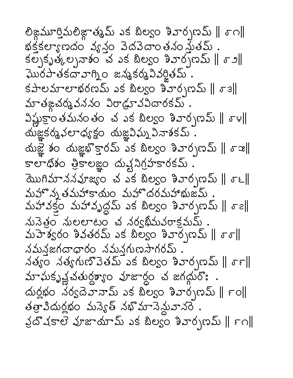లిజ్లమూర్తిమలిజ్గాత్మమ్ ఎక బిల్వం శివార్చణమ్ ∥ ్∩∥ భక్తకల్యాణదం వ్యన్లం వెదవెదాంతనం స్థేతమ్  $\{e_1,e_2,e_3\}$  )  $\{e_2,e_3\}$  )  $\{e_3,e_4\}$  )  $\{e_3,e_4\}$  )  $\{e_4,e_5\}$ ఘొరపాతకదావాగ్ని౦ జన్మకర్మవివర్జితమ్  $\frac{1}{3}$ కపాలాభరణమ్ ఎక బిల్వం శివార్చణమ్ ||  $\sigma$ ౩|| మాతఙచర్మవననం విరాడ్రూవవిదారకమ్.  $\frac{1}{2}$ ష్టుక్రాం తమనంతం చ ఎక బిల్యం శివార్చణమ్ ||  $\sigma$ ౪|| యజ్ఞకర్మఫలాధ్యక్షం యజ్ఞవిఘ్న వినాశకమ్ . လ်)ဆို့ ခါးဝ ထုံးဆီးနောင်း အသော အသော အသော ကြီးကို အကြ కాలాధిశం త్రికాలజ్ఞం దుష్ట నిగ్రహకారకమ్ . สิมคร์ 5 สรังสะรอ สรรั ลอรอ ลิงอร์ กรรม ||  $\sigma$  ย || మహొన్న తమహాకాయం మహొదరమహాభుజమ్ మహావక్తం మహావృద్ధమ్ ఎక బిల్వం శివార్చణమ్ || శాం|| నునెత్రం నులలాటం చ నర్యభీమవరాక్రమమ్.  $\Delta$  3  $\frac{1}{2}$  5  $\frac{1}{2}$  5  $\frac{1}{2}$  5  $\frac{1}{2}$  5  $\frac{1}{2}$  5  $\frac{1}{2}$  5  $\frac{1}{2}$  5  $\frac{1}{2}$  5  $\frac{1}{2}$  5  $\frac{1}{2}$  5  $\frac{1}{2}$ నమనజగదాధారం నమనగుణసాగరమ్ .  $\sim$ శ్యం నత్యగుణొవెతమ్ ఎక బిల్యం శివార్చణమ్ ||  $\sigma$ ౯|| మాఘకృష్ణచతుర్ధశ్యాం వూజార్ధం చ జగద్గురొః . က်ရွှဲဆုံး သတ္တိအသည် ၁၃ စားဝေး ၁၃ ခုနှစ် သည် မြန తత్రావిదుర్లభం మన్యేత్ నభొమానెమ్దవానరె క్రదొషకాలె వూజాయామ్ ఎక బిల్యం శివార్చణమ్ || ౯౧||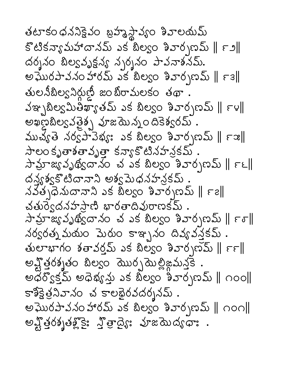తటాకంధననికైవం బ్రహ్మస్థావ్యం శివాలయమ్ కొటికన్యామహాదానమ్ ఎక బిల్యం శివార్చణమ్ || ౯౨|| దర్శనం బిల్యవృక్షన్య స్పర్శనం పావనాశనమ్. అఘేరపావనం హారమ్ ఎక బిల్యం శివార్పణమ్ || ౯౩|| తులనీబిల్వనిర్దుణ్ణి జంబిరామలకం తథా .  $\frac{1}{2}$   $\frac{1}{2}$   $\frac{1}{2}$   $\frac{1}{2}$   $\frac{1}{2}$   $\frac{1}{2}$   $\frac{1}{2}$   $\frac{1}{2}$   $\frac{1}{2}$   $\frac{1}{2}$   $\frac{1}{2}$   $\frac{1}{2}$   $\frac{1}{2}$   $\frac{1}{2}$   $\frac{1}{2}$   $\frac{1}{2}$   $\frac{1}{2}$   $\frac{1}{2}$   $\frac{1}{2}$   $\frac{1}{2}$   $\frac{1}{2}$   $\frac{1}{2}$  అఖణ్రే బిల్వ వతైత్స కూజమె న్నం దికెశ్వరమ్  $\Delta$ బచ్యతె నర్వప్ వెభ్యం ఎక బిల్వం శివార్చణమ్ ||  $\epsilon$  ఇ|| సాలం కృతాశతావృత్తా కన్యాకొటినహన్రకమ్ . సామ్రాజ్యవృథ్విదానం చ ఎక బిల్వం శివార్చణమ్ || ౯౬|| దన్యశ్వకొటిదానాని అశ్వమెధనహన్రకమ్ నవత్పధెనుదానాని ఎక బిల్యం శివార్సణమ్ || ౯౭|| చతుర్వెదనహస్రాణి భారతాదివురాణకమ్ . సామ్రాజ్యవృథ్విదాన౦ చ ఎక బిల్వ౦ శివార్చణమ్ ∥౯రె∥ నర్వరత్న మయం పెురుం కాఞ్చనం దివ్యవన్తకమ్ .  $\frac{1}{2}$  ဆံတေးနောက် နေအသို့သော သင်္ဘောတွေကြောင်း ကြီး అష్టోత్తరశ్శతం బిల్యం మొర్చమెల్లిజ్జమన్తకె అధర్వొక్తమ్ అధెభ్యన్తు ఎక బిల్వం శివార్పణమ్ || ౧౦౦|| కాశీక్షెత్రనివానం చ కాలభైరవదర్శనమ్ . అఘొరపావనం హారమ్ ఎక బిల్యం శివార్పణమ్ || ౧౦౧|| న్నో తెర్మితక్ష్మిక్తో చైత్రార్థిః నుజమెద్య రూ.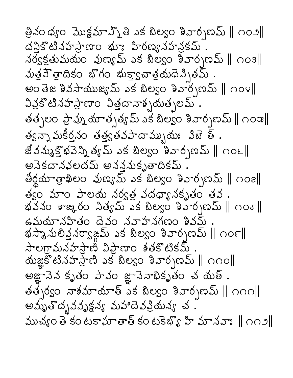త్రినం ధ్యం మొక్షమాఎ్నో తి ఎక బిల్యం శివార్చణమ్ ∥ ౧౦౨∥ దనికొటినహసాణాం భూ: హిరణ్యనహన్రకమ్ నర్వక్రతుమయం వుణ్యమ్ ఎక బిల్యం శివార్చణమ్ || ౧౦౩|| వుత్రవెొత్తాదికం భొగం భుక్తా్ణవాత్రయధెవ్సితమ్ అంతెజ శివసాయుజ్యమ్ ఎక బిల్వం శివార్చణమ్ || ౧౦౪|| వివ్రకొటినహస్రాణాం విత్తదావాశ్చయత్నలమ్ . తత్పలం ప్రావ్ను యాత్సత్యమ్ ఎక బిల్యం శివార్సణమ్ || ౧౦౫|| త్వన్నా మకీర్తనం తత్త్వతవపాదామ్భుయః విజె త్ . జీవన్ముక్తోభవెన్ని త్యమ్ ఎక బిల్యం శివార్చణమ్ || ౧౦౬ || అనెకదానళలదమ్ అనన్తనుకృతాదికమ్ . తీర్థయాత్రాఖిలం వుణ్యమ్ ఎక బిల్యం శివార్చణమ్ ∥ ౧౦౭∥ త్వం మాం పాలయ నర్వత్త వదధ్యానకృతం తవ . หลัง အဆိုဝေ အမွန်း ၁၃ နေ့ဝေ အသက်အညီ || ပဝင ఉమయానహితం దెవం నవాహనగణం శివమ్ భస్మానులిన్తనర్వాఙమ్ ఎక బిల్వం శివార్చణమ్ ∥ ౧౦౯∥ సాలగ్రామనహస్తాణి విప్రాణం శతకొటికమ్.  $\Delta$ ుజ్ఞకోటినహస్తాణి ఎక బిల్వం శివార్చణమ్ || ౧౧౦|| అజ్ఞానెన కృతం పావం జ్ఞానెనాభికృతం చ యత్ . తత్పర్యం వాశమాయాత్ ఎక బిల్యం శివార్పణమ్ || ౧౧౧|| అమృతొద్భవవృక్షన్య మహాదెవప్రియన్య చ<sup>ె</sup>. ముచ్యం తె కంటకాహతాత్ కంటకెళ్ళి హి మానవాః ॥ ౧౧౨॥